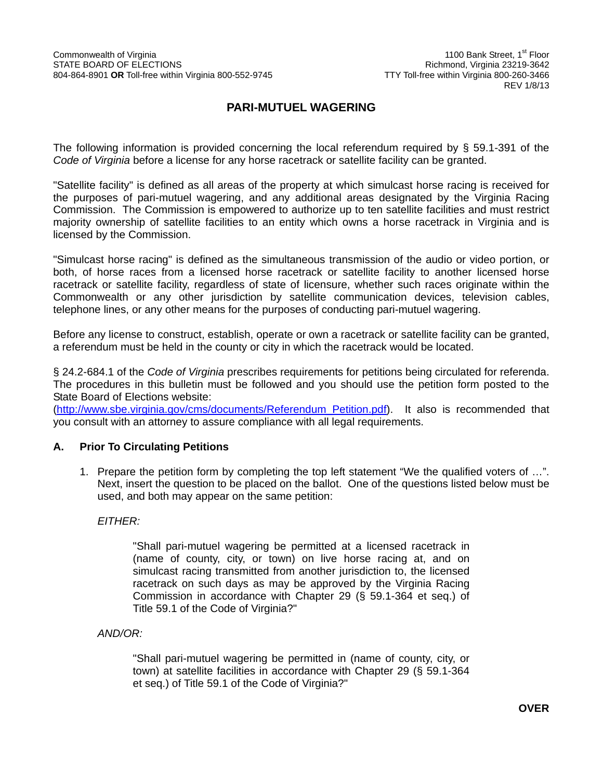### **PARI-MUTUEL WAGERING**

The following information is provided concerning the local referendum required by § 59.1-391 of the *Code of Virginia* before a license for any horse racetrack or satellite facility can be granted.

"Satellite facility" is defined as all areas of the property at which simulcast horse racing is received for the purposes of pari-mutuel wagering, and any additional areas designated by the Virginia Racing Commission. The Commission is empowered to authorize up to ten satellite facilities and must restrict majority ownership of satellite facilities to an entity which owns a horse racetrack in Virginia and is licensed by the Commission.

"Simulcast horse racing" is defined as the simultaneous transmission of the audio or video portion, or both, of horse races from a licensed horse racetrack or satellite facility to another licensed horse racetrack or satellite facility, regardless of state of licensure, whether such races originate within the Commonwealth or any other jurisdiction by satellite communication devices, television cables, telephone lines, or any other means for the purposes of conducting pari-mutuel wagering.

Before any license to construct, establish, operate or own a racetrack or satellite facility can be granted, a referendum must be held in the county or city in which the racetrack would be located.

§ 24.2-684.1 of the *Code of Virginia* prescribes requirements for petitions being circulated for referenda. The procedures in this bulletin must be followed and you should use the petition form posted to the State Board of Elections website:

([http://www.sbe.virginia.gov/cms/documents/Referendum\\_Petition.pdf\).](https://www.elections.virginia.gov/media/formswarehouse/Ballot-Access-Candidate-Qualification/Referenda/PetitionofQualifiedVotersforReferendumSBE-684.1_1_letter.pdf) It also is recommended that you consult with an attorney to assure compliance with all legal requirements.

#### **A. Prior To Circulating Petitions**

1. Prepare the petition form by completing the top left statement "We the qualified voters of …". Next, insert the question to be placed on the ballot. One of the questions listed below must be used, and both may appear on the same petition:

#### *EITHER:*

"Shall pari-mutuel wagering be permitted at a licensed racetrack in (name of county, city, or town) on live horse racing at, and on simulcast racing transmitted from another jurisdiction to, the licensed racetrack on such days as may be approved by the Virginia Racing Commission in accordance with Chapter 29 (§ 59.1-364 et seq.) of Title 59.1 of the Code of Virginia?"

*AND/OR:* 

"Shall pari-mutuel wagering be permitted in (name of county, city, or town) at satellite facilities in accordance with Chapter 29 (§ 59.1-364 et seq.) of Title 59.1 of the Code of Virginia?"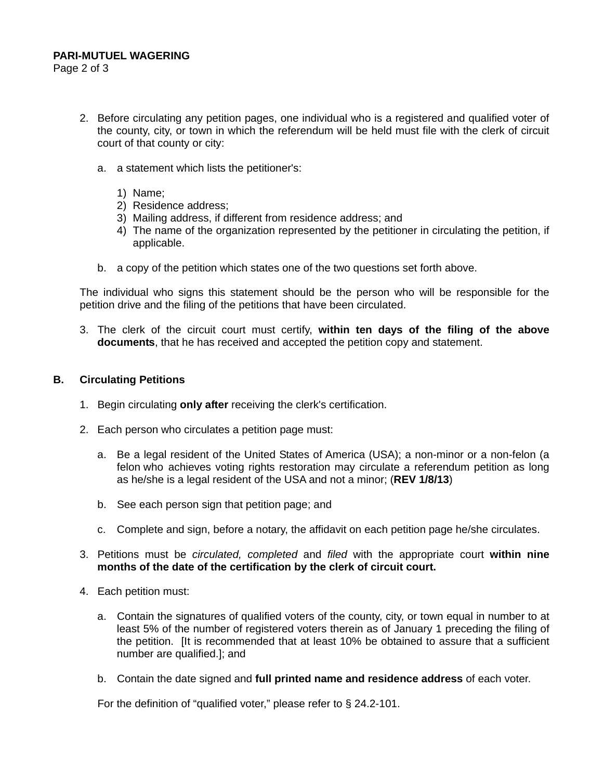#### **PARI-MUTUEL WAGERING**

Page 2 of 3

- 2. Before circulating any petition pages, one individual who is a registered and qualified voter of the county, city, or town in which the referendum will be held must file with the clerk of circuit court of that county or city:
	- a. a statement which lists the petitioner's:
		- 1) Name;
		- 2) Residence address;
		- 3) Mailing address, if different from residence address; and
		- 4) The name of the organization represented by the petitioner in circulating the petition, if applicable.
	- b. a copy of the petition which states one of the two questions set forth above.

The individual who signs this statement should be the person who will be responsible for the petition drive and the filing of the petitions that have been circulated.

3. The clerk of the circuit court must certify, **within ten days of the filing of the above documents**, that he has received and accepted the petition copy and statement.

#### **B. Circulating Petitions**

- 1. Begin circulating **only after** receiving the clerk's certification.
- 2. Each person who circulates a petition page must:
	- a. Be a legal resident of the United States of America (USA); a non-minor or a non-felon (a felon who achieves voting rights restoration may circulate a referendum petition as long as he/she is a legal resident of the USA and not a minor; (**REV 1/8/13**)
	- b. See each person sign that petition page; and
	- c. Complete and sign, before a notary, the affidavit on each petition page he/she circulates.
- 3. Petitions must be *circulated, completed* and *filed* with the appropriate court **within nine months of the date of the certification by the clerk of circuit court.**
- 4. Each petition must:
	- a. Contain the signatures of qualified voters of the county, city, or town equal in number to at least 5% of the number of registered voters therein as of January 1 preceding the filing of the petition. [It is recommended that at least 10% be obtained to assure that a sufficient number are qualified.]; and
	- b. Contain the date signed and **full printed name and residence address** of each voter.

For the definition of "qualified voter," please refer to § 24.2-101.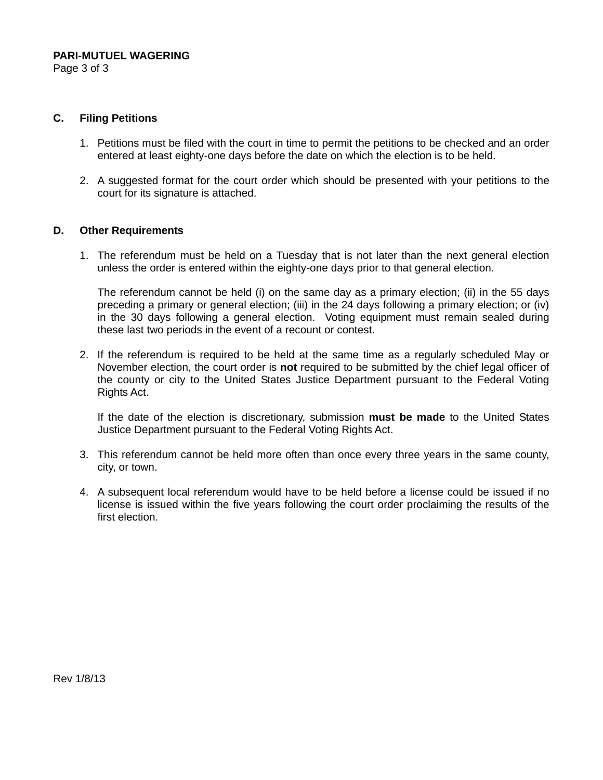#### **PARI-MUTUEL WAGERING**

Page 3 of 3

#### **C. Filing Petitions**

- 1. Petitions must be filed with the court in time to permit the petitions to be checked and an order entered at least eighty-one days before the date on which the election is to be held.
- 2. A suggested format for the court order which should be presented with your petitions to the court for its signature is attached.

#### **D. Other Requirements**

1. The referendum must be held on a Tuesday that is not later than the next general election unless the order is entered within the eighty-one days prior to that general election.

The referendum cannot be held (i) on the same day as a primary election; (ii) in the 55 days preceding a primary or general election; (iii) in the 24 days following a primary election; or (iv) in the 30 days following a general election. Voting equipment must remain sealed during these last two periods in the event of a recount or contest.

2. If the referendum is required to be held at the same time as a regularly scheduled May or November election, the court order is **not** required to be submitted by the chief legal officer of the county or city to the United States Justice Department pursuant to the Federal Voting Rights Act.

If the date of the election is discretionary, submission **must be made** to the United States Justice Department pursuant to the Federal Voting Rights Act.

- 3. This referendum cannot be held more often than once every three years in the same county, city, or town.
- 4. A subsequent local referendum would have to be held before a license could be issued if no license is issued within the five years following the court order proclaiming the results of the first election.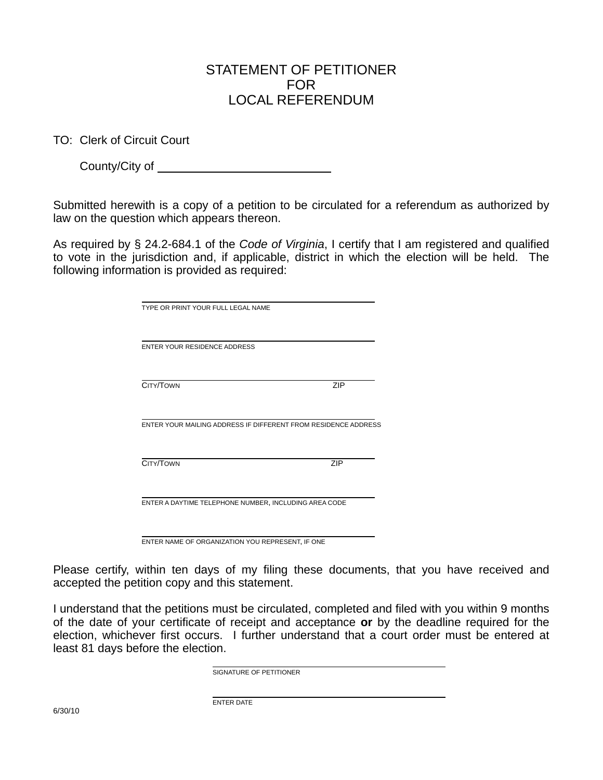# STATEMENT OF PETITIONER FOR LOCAL REFERENDUM

TO: Clerk of Circuit Court

County/City of

Submitted herewith is a copy of a petition to be circulated for a referendum as authorized by law on the question which appears thereon.

As required by § 24.2-684.1 of the *Code of Virginia*, I certify that I am registered and qualified to vote in the jurisdiction and, if applicable, district in which the election will be held. The following information is provided as required:

| TYPE OR PRINT YOUR FULL LEGAL NAME                             |     |
|----------------------------------------------------------------|-----|
|                                                                |     |
| ENTER YOUR RESIDENCE ADDRESS                                   |     |
| CITY/TOWN                                                      | ZIP |
| ENTER YOUR MAILING ADDRESS IF DIFFERENT FROM RESIDENCE ADDRESS |     |
|                                                                |     |
| CITY/TOWN                                                      | ZIP |
| ENTER A DAYTIME TELEPHONE NUMBER, INCLUDING AREA CODE          |     |

Please certify, within ten days of my filing these documents, that you have received and accepted the petition copy and this statement.

I understand that the petitions must be circulated, completed and filed with you within 9 months of the date of your certificate of receipt and acceptance **or** by the deadline required for the election, whichever first occurs. I further understand that a court order must be entered at least 81 days before the election.

SIGNATURE OF PETITIONER

ENTER DATE

ENTER NAME OF ORGANIZATION YOU REPRESENT, IF ONE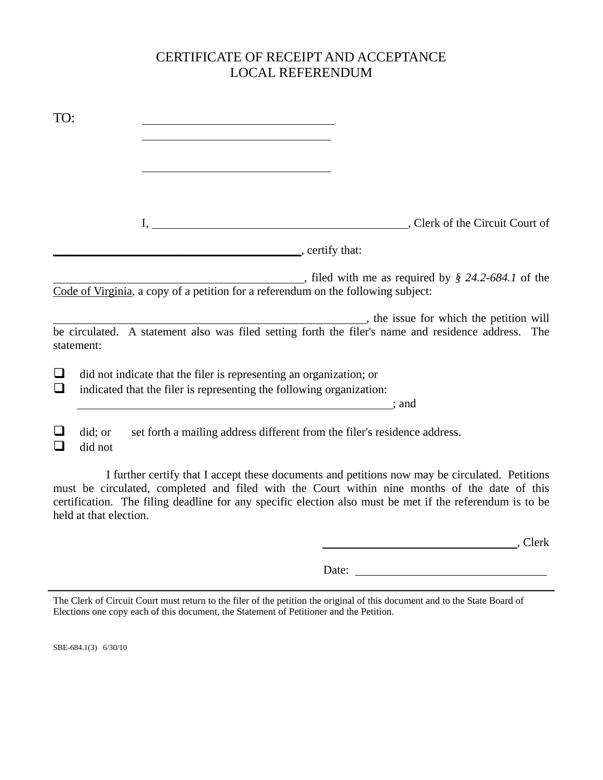# CERTIFICATE OF RECEIPT AND ACCEPTANCE LOCAL REFERENDUM

| TO:    |                                                                                                                                                                                                                                                                                                                                                    |  |
|--------|----------------------------------------------------------------------------------------------------------------------------------------------------------------------------------------------------------------------------------------------------------------------------------------------------------------------------------------------------|--|
|        |                                                                                                                                                                                                                                                                                                                                                    |  |
|        |                                                                                                                                                                                                                                                                                                                                                    |  |
|        |                                                                                                                                                                                                                                                                                                                                                    |  |
|        | I, Clerk of the Circuit Court of                                                                                                                                                                                                                                                                                                                   |  |
|        | $\overline{\phantom{a}}$ , certify that:                                                                                                                                                                                                                                                                                                           |  |
|        | $\frac{1}{2}$ , filed with me as required by $\frac{1}{2}$ 24.2-684.1 of the<br>Code of Virginia, a copy of a petition for a referendum on the following subject:                                                                                                                                                                                  |  |
|        | the issue for which the petition will produce the set of the set of the set of the set of the set of the set of the set of the set of the set of the set of the set of the set of the set of the set of the set of the set of<br>be circulated. A statement also was filed setting forth the filer's name and residence address. The<br>statement: |  |
| ⊔<br>❏ | did not indicate that the filer is representing an organization; or<br>indicated that the filer is representing the following organization:<br>and solution and solution of the set of the set of the set of the set of the set of the set of the set of the s                                                                                     |  |
| ❏      | set forth a mailing address different from the filer's residence address.<br>did; or<br>did not                                                                                                                                                                                                                                                    |  |
|        | I further certify that I accept these documents and petitions now may be circulated. Petitions                                                                                                                                                                                                                                                     |  |

must be circulated, completed and filed with the Court within nine months of the date of this certification. The filing deadline for any specific election also must be met if the referendum is to be held at that election.

, Clerk

Date:

The Clerk of Circuit Court must return to the filer of the petition the original of this document and to the State Board of Elections one copy each of this document, the Statement of Petitioner and the Petition.

SBE-684.1(3) 6/30/10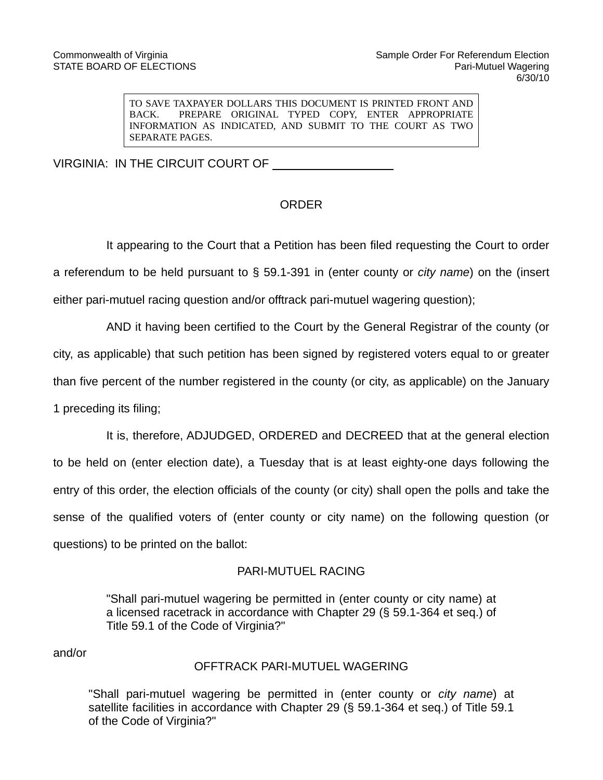TO SAVE TAXPAYER DOLLARS THIS DOCUMENT IS PRINTED FRONT AND BACK. PREPARE ORIGINAL TYPED COPY, ENTER APPROPRIATE INFORMATION AS INDICATED, AND SUBMIT TO THE COURT AS TWO SEPARATE PAGES.

VIRGINIA: IN THE CIRCUIT COURT OF

# ORDER

It appearing to the Court that a Petition has been filed requesting the Court to order a referendum to be held pursuant to § 59.1-391 in (enter county or *city name*) on the (insert either pari-mutuel racing question and/or offtrack pari-mutuel wagering question);

AND it having been certified to the Court by the General Registrar of the county (or city, as applicable) that such petition has been signed by registered voters equal to or greater than five percent of the number registered in the county (or city, as applicable) on the January 1 preceding its filing;

It is, therefore, ADJUDGED, ORDERED and DECREED that at the general election to be held on (enter election date), a Tuesday that is at least eighty-one days following the entry of this order, the election officials of the county (or city) shall open the polls and take the sense of the qualified voters of (enter county or city name) on the following question (or questions) to be printed on the ballot:

### PARI-MUTUEL RACING

"Shall pari-mutuel wagering be permitted in (enter county or city name) at a licensed racetrack in accordance with Chapter 29 (§ 59.1-364 et seq.) of Title 59.1 of the Code of Virginia?"

and/or

### OFFTRACK PARI-MUTUEL WAGERING

"Shall pari-mutuel wagering be permitted in (enter county or *city name*) at satellite facilities in accordance with Chapter 29 (§ 59.1-364 et seq.) of Title 59.1 of the Code of Virginia?"